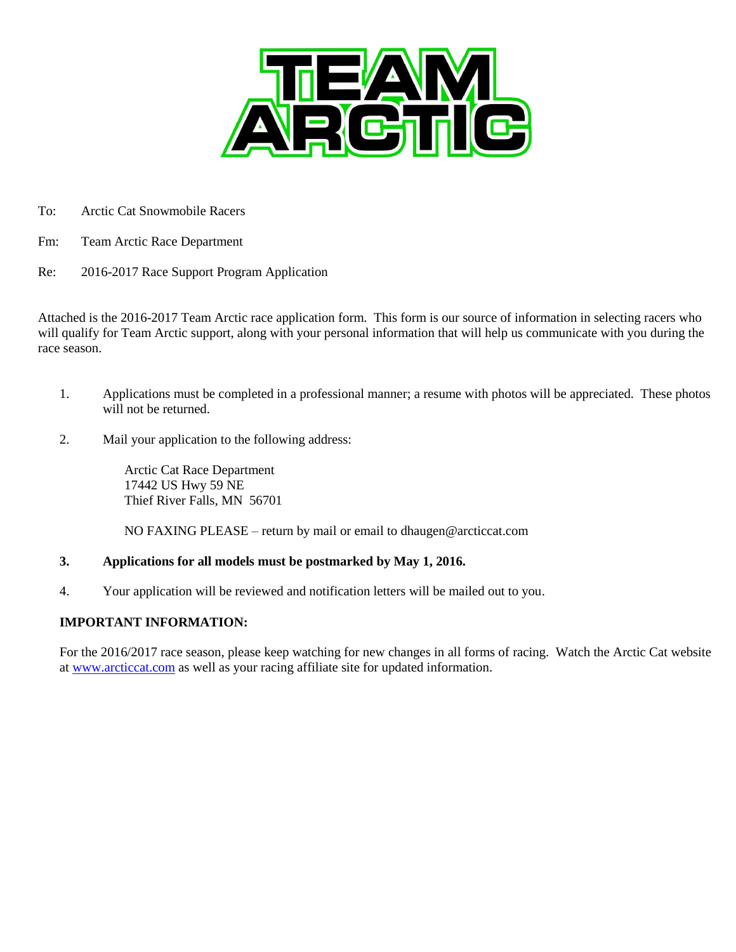

- To: Arctic Cat Snowmobile Racers
- Fm: Team Arctic Race Department
- Re: 2016-2017 Race Support Program Application

Attached is the 2016-2017 Team Arctic race application form. This form is our source of information in selecting racers who will qualify for Team Arctic support, along with your personal information that will help us communicate with you during the race season.

- 1. Applications must be completed in a professional manner; a resume with photos will be appreciated. These photos will not be returned.
- 2. Mail your application to the following address:

Arctic Cat Race Department 17442 US Hwy 59 NE Thief River Falls, MN 56701

NO FAXING PLEASE – return by mail or email to dhaugen@arcticcat.com

### **3. Applications for all models must be postmarked by May 1, 2016.**

4. Your application will be reviewed and notification letters will be mailed out to you.

### **IMPORTANT INFORMATION:**

For the 2016/2017 race season, please keep watching for new changes in all forms of racing. Watch the Arctic Cat website at [www.arcticcat.com](http://www.arcticcat.com/) as well as your racing affiliate site for updated information.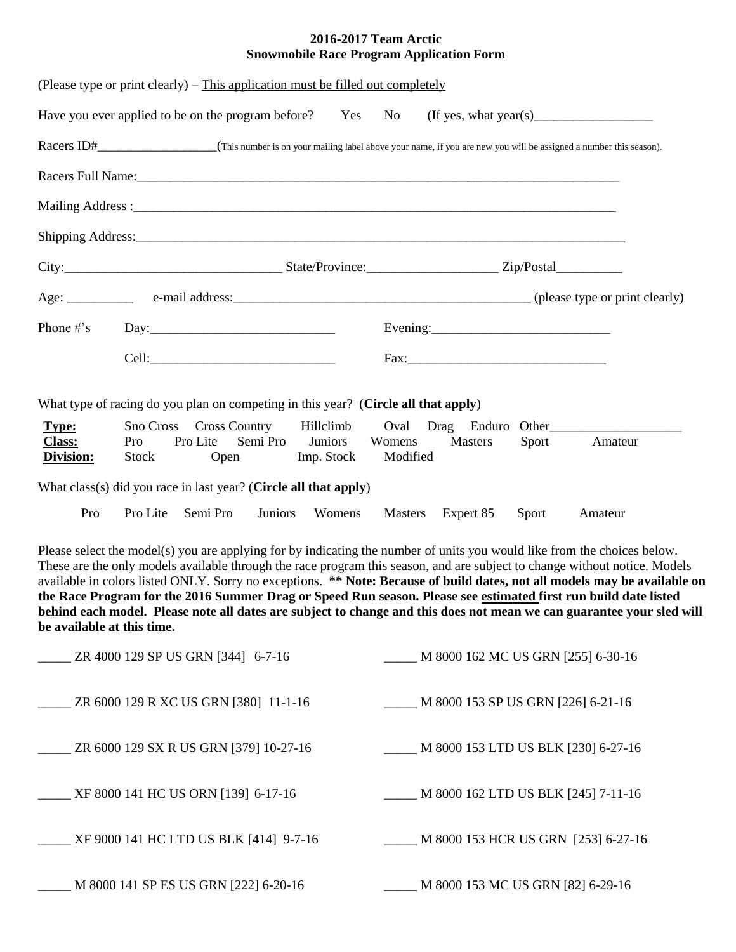### **2016-2017 Team Arctic Snowmobile Race Program Application Form**

| (Please type or print clearly) – This application must be filled out completely    |              |                                                        |             |                       |                            |                                                                                                                                                                                                                                |       |                                                                                 |
|------------------------------------------------------------------------------------|--------------|--------------------------------------------------------|-------------|-----------------------|----------------------------|--------------------------------------------------------------------------------------------------------------------------------------------------------------------------------------------------------------------------------|-------|---------------------------------------------------------------------------------|
|                                                                                    |              |                                                        |             |                       |                            |                                                                                                                                                                                                                                |       | Have you ever applied to be on the program before? Yes No (If yes, what year(s) |
|                                                                                    |              |                                                        |             |                       |                            |                                                                                                                                                                                                                                |       |                                                                                 |
|                                                                                    |              |                                                        |             |                       |                            |                                                                                                                                                                                                                                |       |                                                                                 |
|                                                                                    |              |                                                        |             |                       |                            |                                                                                                                                                                                                                                |       |                                                                                 |
|                                                                                    |              |                                                        |             |                       |                            | Shipping Address: Nicolas Contractor Contractor Contractor Contractor Contractor Contractor Contractor Contractor Contractor Contractor Contractor Contractor Contractor Contractor Contractor Contractor Contractor Contracto |       |                                                                                 |
|                                                                                    |              |                                                        |             |                       |                            |                                                                                                                                                                                                                                |       |                                                                                 |
|                                                                                    |              |                                                        |             |                       |                            |                                                                                                                                                                                                                                |       |                                                                                 |
|                                                                                    |              |                                                        |             |                       |                            | Evening: $\frac{1}{2}$ Evening:                                                                                                                                                                                                |       |                                                                                 |
|                                                                                    |              |                                                        |             |                       |                            |                                                                                                                                                                                                                                |       |                                                                                 |
| What type of racing do you plan on competing in this year? (Circle all that apply) |              |                                                        |             |                       |                            |                                                                                                                                                                                                                                |       |                                                                                 |
| <b>Type:</b><br><b>Class:</b><br>Division:                                         | Pro<br>Stock | Sno Cross Cross Country Hillclimb<br>Pro Lite Semi Pro | <b>Open</b> | Juniors<br>Imp. Stock | Oval<br>Womens<br>Modified | <b>Masters</b>                                                                                                                                                                                                                 | Sport | Drag Enduro Other<br>Amateur                                                    |
| What class(s) did you race in last year? (Circle all that apply)                   |              |                                                        |             |                       |                            |                                                                                                                                                                                                                                |       |                                                                                 |
| Pro                                                                                | Pro Lite     | Semi Pro                                               | Juniors     | Womens                |                            | Masters Expert 85 Sport                                                                                                                                                                                                        |       | Amateur                                                                         |

Please select the model(s) you are applying for by indicating the number of units you would like from the choices below. These are the only models available through the race program this season, and are subject to change without notice. Models available in colors listed ONLY. Sorry no exceptions. **\*\* Note: Because of build dates, not all models may be available on the Race Program for the 2016 Summer Drag or Speed Run season. Please see estimated first run build date listed behind each model. Please note all dates are subject to change and this does not mean we can guarantee your sled will be available at this time.**

| ZR 4000 129 SP US GRN [344] 6-7-16     | M 8000 162 MC US GRN [255] 6-30-16  |
|----------------------------------------|-------------------------------------|
| ZR 6000 129 R XC US GRN [380] 11-1-16  | M 8000 153 SP US GRN [226] 6-21-16  |
| ZR 6000 129 SX R US GRN [379] 10-27-16 | M 8000 153 LTD US BLK [230] 6-27-16 |
| XF 8000 141 HC US ORN [139] 6-17-16    | M 8000 162 LTD US BLK [245] 7-11-16 |
| XF 9000 141 HC LTD US BLK [414] 9-7-16 | M 8000 153 HCR US GRN [253] 6-27-16 |
| M 8000 141 SP ES US GRN [222] 6-20-16  | M 8000 153 MC US GRN [82] 6-29-16   |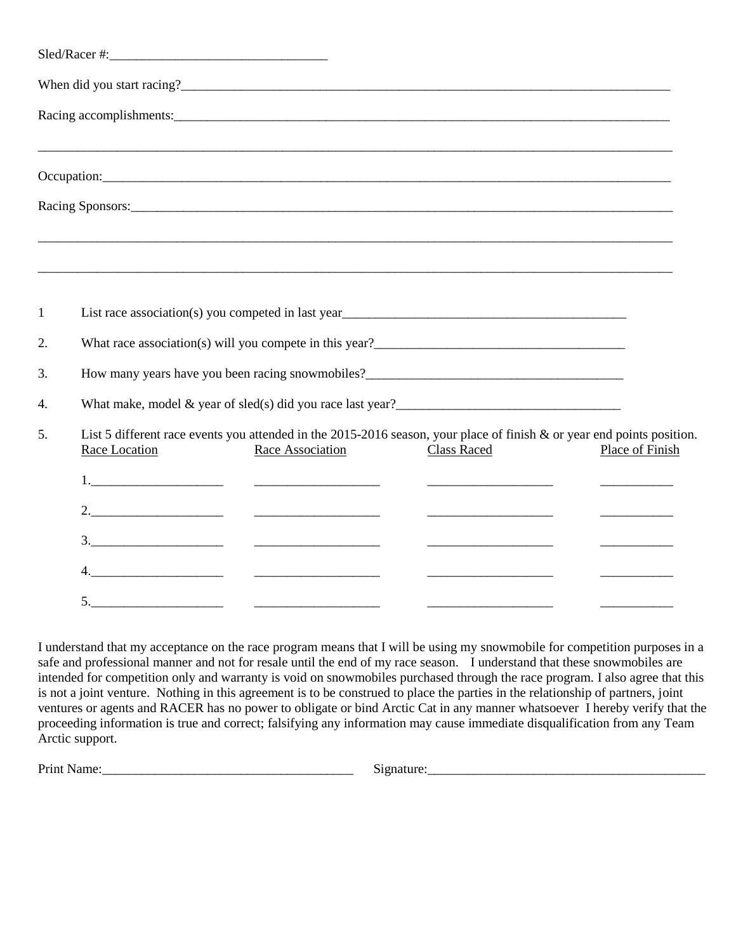|    |               | Racing Sponsors: North Communication of the Sponsors: North Communication of the Sponsors:                                                                                                                                             |                    |                                         |
|----|---------------|----------------------------------------------------------------------------------------------------------------------------------------------------------------------------------------------------------------------------------------|--------------------|-----------------------------------------|
|    |               |                                                                                                                                                                                                                                        |                    |                                         |
| 1  |               | List race association(s) you competed in last year<br><u>List race association</u> (s) you competed in last year<br><u>List</u>                                                                                                        |                    |                                         |
| 2. |               | What race association(s) will you compete in this year?<br><u>Letting and the contract of the set of the set of the set of the set of the set of the set of the set of the set of the set of the set of the set of the set of the </u> |                    |                                         |
| 3. |               |                                                                                                                                                                                                                                        |                    |                                         |
| 4. |               |                                                                                                                                                                                                                                        |                    |                                         |
| 5. | Race Location | List 5 different race events you attended in the 2015-2016 season, your place of finish & or year end points position.<br>Race Association                                                                                             | <b>Class Raced</b> | Place of Finish                         |
|    |               |                                                                                                                                                                                                                                        |                    |                                         |
|    |               |                                                                                                                                                                                                                                        |                    | <u> 1989 - Johann Barbara, martxa a</u> |
|    |               |                                                                                                                                                                                                                                        |                    |                                         |
|    |               |                                                                                                                                                                                                                                        |                    |                                         |
|    |               |                                                                                                                                                                                                                                        |                    |                                         |

I understand that my acceptance on the race program means that I will be using my snowmobile for competition purposes in a safe and professional manner and not for resale until the end of my race season. I understand that these snowmobiles are intended for competition only and warranty is void on snowmobiles purchased through the race program. I also agree that this is not a joint venture. Nothing in this agreement is to be construed to place the parties in the relationship of partners, joint ventures or agents and RACER has no power to obligate or bind Arctic Cat in any manner whatsoever I hereby verify that the proceeding information is true and correct; falsifying any information may cause immediate disqualification from any Team Arctic support.

Print Name:\_\_\_\_\_\_\_\_\_\_\_\_\_\_\_\_\_\_\_\_\_\_\_\_\_\_\_\_\_\_\_\_\_\_\_\_\_\_ Signature:\_\_\_\_\_\_\_\_\_\_\_\_\_\_\_\_\_\_\_\_\_\_\_\_\_\_\_\_\_\_\_\_\_\_\_\_\_\_\_\_\_\_